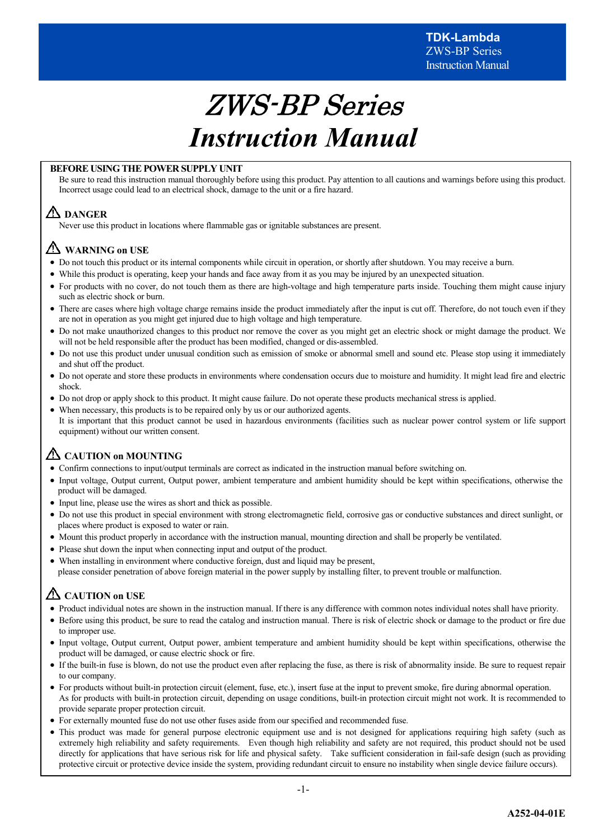# ZWS-BP Series *Instruction Manual*

### **BEFORE USING THE POWER SUPPLY UNIT**

Be sure to read this instruction manual thoroughly before using this product. Pay attention to all cautions and warnings before using this product. Incorrect usage could lead to an electrical shock, damage to the unit or a fire hazard.

# **DANGER**

Never use this product in locations where flammable gas or ignitable substances are present.

# **WARNING on USE**

- · Do not touch this product or its internal components while circuit in operation, or shortly after shutdown. You may receive a burn.
- While this product is operating, keep your hands and face away from it as you may be injured by an unexpected situation.
- · For products with no cover, do not touch them as there are high-voltage and high temperature parts inside. Touching them might cause injury such as electric shock or burn.
- · There are cases where high voltage charge remains inside the product immediately after the input is cut off. Therefore, do not touch even if they are not in operation as you might get injured due to high voltage and high temperature.
- · Do not make unauthorized changes to this product nor remove the cover as you might get an electric shock or might damage the product. We will not be held responsible after the product has been modified, changed or dis-assembled.
- · Do not use this product under unusual condition such as emission of smoke or abnormal smell and sound etc. Please stop using it immediately and shut off the product.
- · Do not operate and store these products in environments where condensation occurs due to moisture and humidity. It might lead fire and electric shock.
- · Do not drop or apply shock to this product. It might cause failure. Do not operate these products mechanical stress is applied.
- When necessary, this products is to be repaired only by us or our authorized agents. It is important that this product cannot be used in hazardous environments (facilities such as nuclear power control system or life support equipment) without our written consent.

# **CAUTION on MOUNTING**

- · Confirm connections to input/output terminals are correct as indicated in the instruction manual before switching on.
- · Input voltage, Output current, Output power, ambient temperature and ambient humidity should be kept within specifications, otherwise the product will be damaged.
- · Input line, please use the wires as short and thick as possible.
- · Do not use this product in special environment with strong electromagnetic field, corrosive gas or conductive substances and direct sunlight, or places where product is exposed to water or rain.
- · Mount this product properly in accordance with the instruction manual, mounting direction and shall be properly be ventilated.
- · Please shut down the input when connecting input and output of the product.
- · When installing in environment where conductive foreign, dust and liquid may be present, please consider penetration of above foreign material in the power supply by installing filter, to prevent trouble or malfunction.

# **CAUTION on USE**

- · Product individual notes are shown in the instruction manual. If there is any difference with common notes individual notes shall have priority.
- · Before using this product, be sure to read the catalog and instruction manual. There is risk of electric shock or damage to the product or fire due to improper use.
- · Input voltage, Output current, Output power, ambient temperature and ambient humidity should be kept within specifications, otherwise the product will be damaged, or cause electric shock or fire.
- · If the built-in fuse is blown, do not use the product even after replacing the fuse, as there is risk of abnormality inside. Be sure to request repair to our company.
- · For products without built-in protection circuit (element, fuse, etc.), insert fuse at the input to prevent smoke, fire during abnormal operation. As for products with built-in protection circuit, depending on usage conditions, built-in protection circuit might not work. It is recommended to provide separate proper protection circuit.
- · For externally mounted fuse do not use other fuses aside from our specified and recommended fuse.
- · This product was made for general purpose electronic equipment use and is not designed for applications requiring high safety (such as extremely high reliability and safety requirements. Even though high reliability and safety are not required, this product should not be used directly for applications that have serious risk for life and physical safety. Take sufficient consideration in fail-safe design (such as providing protective circuit or protective device inside the system, providing redundant circuit to ensure no instability when single device failure occurs).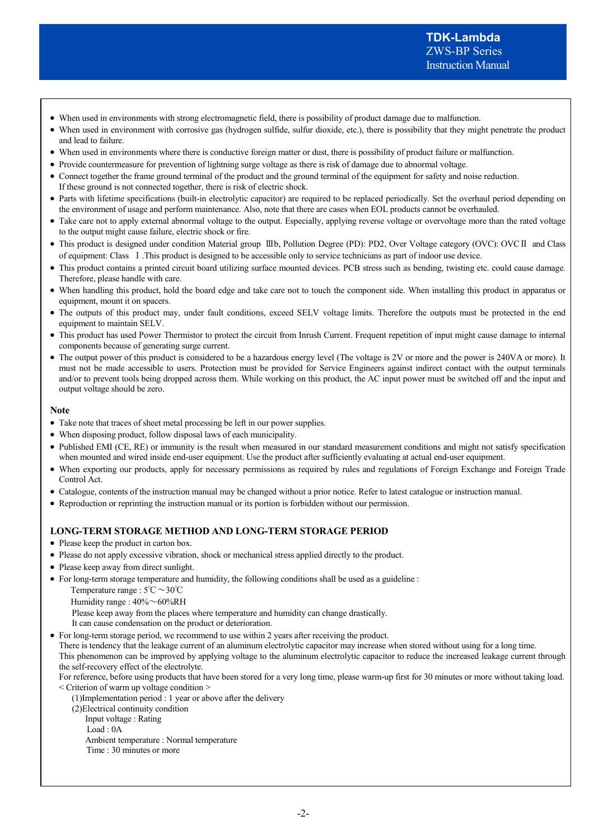- · When used in environments with strong electromagnetic field, there is possibility of product damage due to malfunction.
- · When used in environment with corrosive gas (hydrogen sulfide, sulfur dioxide, etc.), there is possibility that they might penetrate the product and lead to failure.
- · When used in environments where there is conductive foreign matter or dust, there is possibility of product failure or malfunction.
- · Provide countermeasure for prevention of lightning surge voltage as there is risk of damage due to abnormal voltage.
- · Connect together the frame ground terminal of the product and the ground terminal of the equipment for safety and noise reduction. If these ground is not connected together, there is risk of electric shock.
- · Parts with lifetime specifications (built-in electrolytic capacitor) are required to be replaced periodically. Set the overhaul period depending on the environment of usage and perform maintenance. Also, note that there are cases when EOL products cannot be overhauled.
- · Take care not to apply external abnormal voltage to the output. Especially, applying reverse voltage or overvoltage more than the rated voltage to the output might cause failure, electric shock or fire.
- · This product is designed under condition Material group Ⅲb, Pollution Degree (PD): PD2, Over Voltage category (OVC): OVCⅡ and Class of equipment: Class Ⅰ.This product is designed to be accessible only to service technicians as part of indoor use device.
- · This product contains a printed circuit board utilizing surface mounted devices. PCB stress such as bending, twisting etc. could cause damage. Therefore, please handle with care.
- When handling this product, hold the board edge and take care not to touch the component side. When installing this product in apparatus or equipment, mount it on spacers.
- The outputs of this product may, under fault conditions, exceed SELV voltage limits. Therefore the outputs must be protected in the end equipment to maintain SELV.
- · This product has used Power Thermistor to protect the circuit from Inrush Current. Frequent repetition of input might cause damage to internal components because of generating surge current.
- The output power of this product is considered to be a hazardous energy level (The voltage is 2V or more and the power is 240VA or more). It must not be made accessible to users. Protection must be provided for Service Engineers against indirect contact with the output terminals and/or to prevent tools being dropped across them. While working on this product, the AC input power must be switched off and the input and output voltage should be zero.

### **Note**

- · Take note that traces of sheet metal processing be left in our power supplies.
- · When disposing product, follow disposal laws of each municipality.
- · Published EMI (CE, RE) or immunity is the result when measured in our standard measurement conditions and might not satisfy specification when mounted and wired inside end-user equipment. Use the product after sufficiently evaluating at actual end-user equipment.
- · When exporting our products, apply for necessary permissions as required by rules and regulations of Foreign Exchange and Foreign Trade Control Act.
- · Catalogue, contents of the instruction manual may be changed without a prior notice. Refer to latest catalogue or instruction manual.
- · Reproduction or reprinting the instruction manual or its portion is forbidden without our permission.

### **LONG-TERM STORAGE METHOD AND LONG-TERM STORAGE PERIOD**

- Please keep the product in carton box.
- · Please do not apply excessive vibration, shock or mechanical stress applied directly to the product.
- Please keep away from direct sunlight.
- · For long-term storage temperature and humidity, the following conditions shall be used as a guideline :

Temperature range : 5℃~30℃

Humidity range : 40%~60%RH

Please keep away from the places where temperature and humidity can change drastically.

It can cause condensation on the product or deterioration.

· For long-term storage period, we recommend to use within 2 years after receiving the product.

There is tendency that the leakage current of an aluminum electrolytic capacitor may increase when stored without using for a long time. This phenomenon can be improved by applying voltage to the aluminum electrolytic capacitor to reduce the increased leakage current through the self-recovery effect of the electrolyte.

For reference, before using products that have been stored for a very long time, please warm-up first for 30 minutes or more without taking load. < Criterion of warm up voltage condition >

(1)Implementation period : 1 year or above after the delivery

- (2)Electrical continuity condition
	- Input voltage : Rating
	- Load : 0A
	- Ambient temperature : Normal temperature
	- Time : 30 minutes or more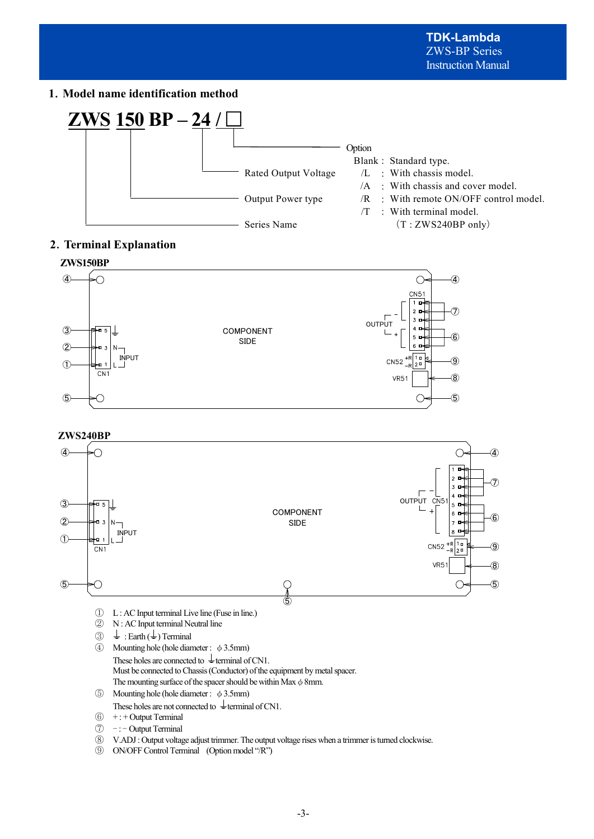# **1**.**Model name identification method**



# **2**.**Terminal Explanation**



### **ZWS240BP**



⑨ ON/OFF Control Terminal (Option model "/R")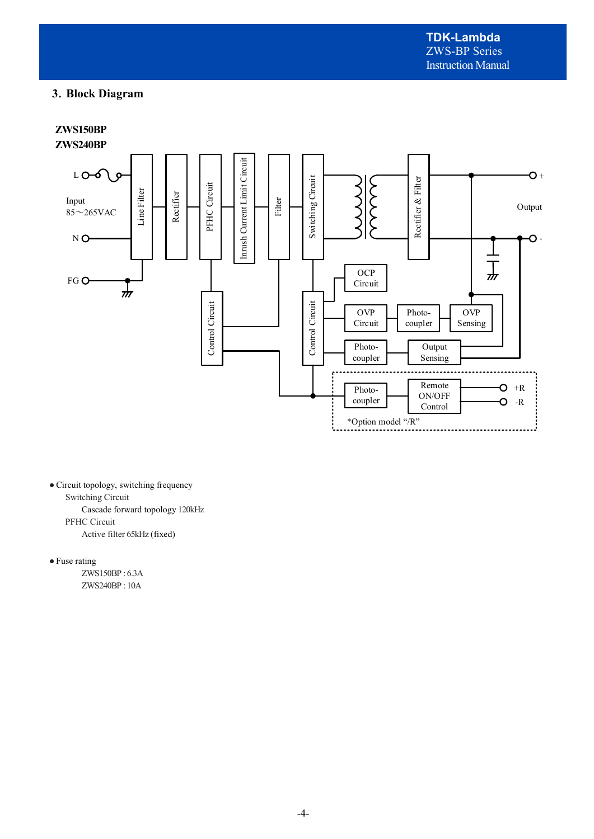# **3**.**Block Diagram**

**ZWS150BP ZWS240BP** 



● Circuit topology, switching frequency Switching Circuit Cascade forward topology 120kHz PFHC Circuit

Active filter 65kHz (fixed)

● Fuse rating

 ZWS150BP : 6.3A ZWS240BP : 10A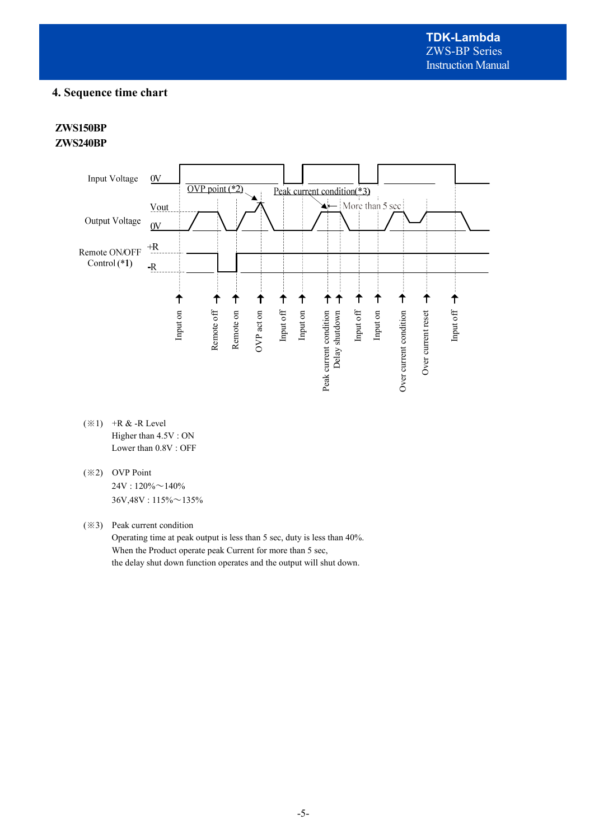# **4. Sequence time chart**

# **ZWS150BP ZWS240BP**



- $(\divideontimes 1)$  +R & -R Level Higher than 4.5V : ON Lower than 0.8V : OFF
- (※2) OVP Point  $24V : 120\% \sim 140\%$ 36V,48V : 115%~135%

(※3) Peak current condition

Operating time at peak output is less than 5 sec, duty is less than 40%. When the Product operate peak Current for more than 5 sec, the delay shut down function operates and the output will shut down.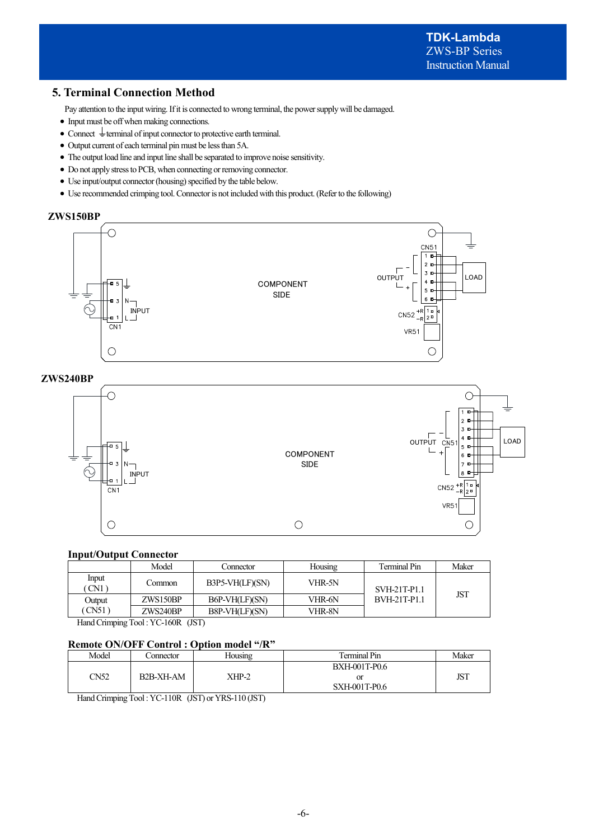# **5. Terminal Connection Method**

Pay attention to the input wiring. If it is connected to wrong terminal, the power supply will be damaged.

- · Input must be off when making connections.
- Connect  $\frac{1}{x}$  terminal of input connector to protective earth terminal.
- · Output current of each terminal pin must be less than 5A.
- · The output load line and input line shall be separated to improve noise sensitivity.
- · Do not apply stress to PCB, when connecting or removing connector.
- · Use input/output connector (housing) specified by the table below.
- · Use recommended crimping tool. Connector is not included with this product. (Refer to the following)

# **ZWS150BP**



### **ZWS240BP**



### **Input/Output Connector**

|              | Model    | Connector       | Housing | Terminal Pin        | Maker      |
|--------------|----------|-----------------|---------|---------------------|------------|
| Input<br>CN1 | Common   | B3P5-VH(LF)(SN) | VHR-5N  | SVH-21T-P1.1        |            |
| Output       | ZWS150BP | B6P-VH(LF)(SN)  | VHR-6N  | <b>BVH-21T-P1.1</b> | <b>JST</b> |
| CN51         | ZWS240BP | B8P-VH(LF)(SN)  | VHR-8N  |                     |            |

Hand Crimping Tool : YC-160R (JST)

### **Remote ON/OFF Control : Option model "/R"**

| Model | Connector | Housing | Terminal Pin  | Maker        |
|-------|-----------|---------|---------------|--------------|
|       |           |         | BXH-001T-P0.6 |              |
| CN52  | B2B-XH-AM | XHP-2   | or            | דריז<br>JS I |
|       |           |         | SXH-001T-P0.6 |              |

Hand Crimping Tool : YC-110R (JST) or YRS-110 (JST)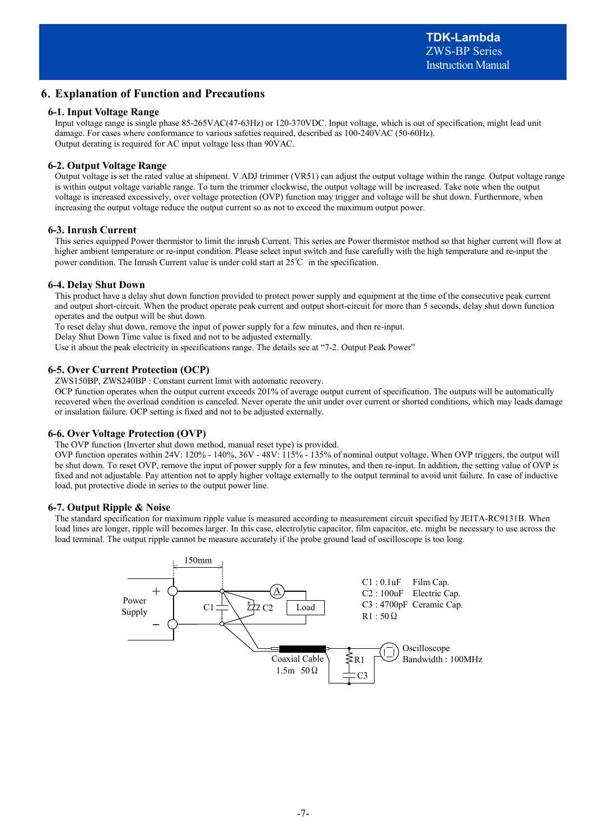# **6**.**Explanation of Function and Precautions**

### **6-1. Input Voltage Range**

Input voltage range is single phase 85-265VAC(47-63Hz) or 120-370VDC. Input voltage, which is out of specification, might lead unit damage. For cases where conformance to various safeties required, described as 100-240VAC (50-60Hz). Output derating is required for AC input voltage less than 90VAC.

### **6-2. Output Voltage Range**

Output voltage is set the rated value at shipment. V.ADJ trimmer (VR51) can adjust the output voltage within the range. Output voltage range is within output voltage variable range. To turn the trimmer clockwise, the output voltage will be increased. Take note when the output voltage is increased excessively, over voltage protection (OVP) function may trigger and voltage will be shut down. Furthermore, when increasing the output voltage reduce the output current so as not to exceed the maximum output power.

### **6-3. Inrush Current**

This series equipped Power thermistor to limit the inrush Current. This series are Power thermistor method so that higher current will flow at higher ambient temperature or re-input condition. Please select input switch and fuse carefully with the high temperature and re-input the power condition. The Inrush Current value is under cold start at  $25^{\circ}$  in the specification.

### **6-4. Delay Shut Down**

This product have a delay shut down function provided to protect power supply and equipment at the time of the consecutive peak current and output short-circuit. When the product operate peak current and output short-circuit for more than 5 seconds, delay shut down function operates and the output will be shut down.

To reset delay shut down, remove the input of power supply for a few minutes, and then re-input.

Delay Shut Down Time value is fixed and not to be adjusted externally.

Use it about the peak electricity in specifications range. The details see at "7-2. Output Peak Power"

### **6-5. Over Current Protection (OCP)**

ZWS150BP, ZWS240BP : Constant current limit with automatic recovery.

OCP function operates when the output current exceeds 201% of average output current of specification. The outputs will be automatically recovered when the overload condition is canceled. Never operate the unit under over current or shorted conditions, which may leads damage or insulation failure. OCP setting is fixed and not to be adjusted externally.

### **6-6. Over Voltage Protection (OVP)**

The OVP function (Inverter shut down method, manual reset type) is provided.

OVP function operates within 24V: 120% - 140%, 36V - 48V: 115% - 135% of nominal output voltage. When OVP triggers, the output will be shut down. To reset OVP, remove the input of power supply for a few minutes, and then re-input. In addition, the setting value of OVP is fixed and not adjustable. Pay attention not to apply higher voltage externally to the output terminal to avoid unit failure. In case of inductive load, put protective diode in series to the output power line.

### **6-7. Output Ripple & Noise**

The standard specification for maximum ripple value is measured according to measurement circuit specified by JEITA-RC9131B. When load lines are longer, ripple will becomes larger. In this case, electrolytic capacitor, film capacitor, etc. might be necessary to use across the load terminal. The output ripple cannot be measure accurately if the probe ground lead of oscilloscope is too long.

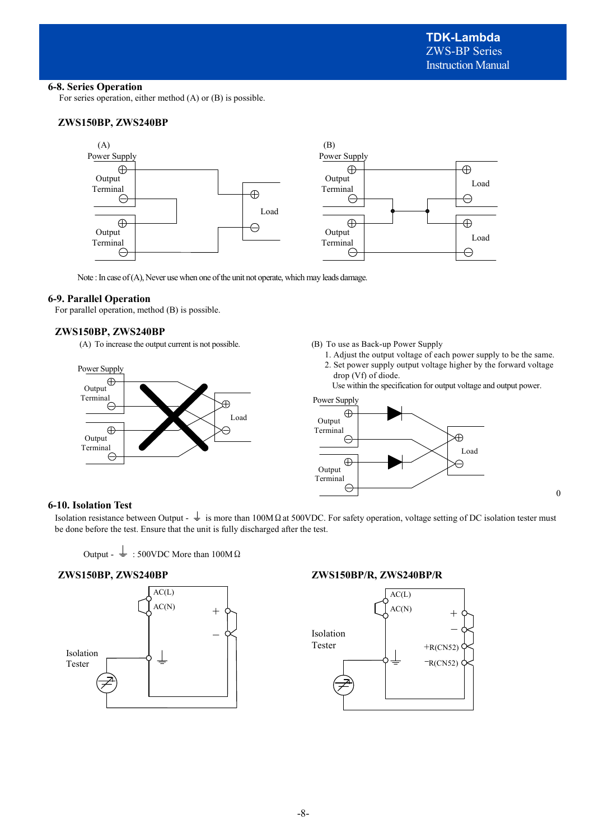### **6-8. Series Operation**

For series operation, either method (A) or (B) is possible.

### **ZWS150BP, ZWS240BP**



Note : In case of (A), Never use when one of the unit not operate, which may leads damage.

### **6-9. Parallel Operation**

For parallel operation, method (B) is possible.

### **ZWS150BP, ZWS240BP**

(A) To increase the output current is not possible.



(B) To use as Back-up Power Supply

- 1. Adjust the output voltage of each power supply to be the same. 2. Set power supply output voltage higher by the forward voltage
- drop (Vf) of diode.

Use within the specification for output voltage and output power.

0



### **6-10. Isolation Test**

Isolation resistance between Output -  $\frac{1}{\epsilon}$  is more than 100MΩat 500VDC. For safety operation, voltage setting of DC isolation tester must be done before the test. Ensure that the unit is fully discharged after the test.

Output -  $\frac{1}{2}$  : 500VDC More than 100M Ω



### **ZWS150BP, ZWS240BP ZWS150BP/R, ZWS240BP/R**

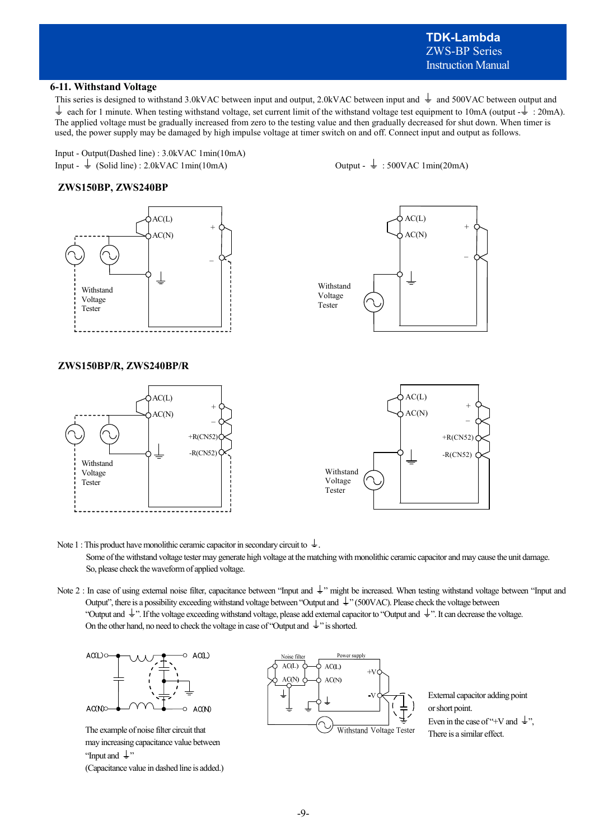# **TDK-Lambda**  ZWS-BP Series Instruction Manual

### **6-11. Withstand Voltage**

This series is designed to withstand 3.0kVAC between input and output, 2.0kVAC between input and  $\frac{1}{\epsilon}$  and 500VAC between output and each for 1 minute. When testing withstand voltage, set current limit of the withstand voltage test equipment to 10mA (output  $-\frac{1}{2}$ : 20mA). The applied voltage must be gradually increased from zero to the testing value and then gradually decreased for shut down. When timer is used, the power supply may be damaged by high impulse voltage at timer switch on and off. Connect input and output as follows.

Input - Output(Dashed line) : 3.0kVAC 1min(10mA) Input -  $\frac{1}{\epsilon}$  (Solid line) : 2.0kVAC 1min(10mA) Output -  $\frac{1}{\epsilon}$  : 500VAC 1min(20mA)





### **ZWS150BP/R, ZWS240BP/R**







Note 1 : This product have monolithic ceramic capacitor in secondary circuit to  $\frac{1}{\epsilon}$ . Some of the withstand voltage tester may generate high voltage at the matching with monolithic ceramic capacitor and may cause the unit damage. So, please check the waveform of applied voltage.

Note 2 : In case of using external noise filter, capacitance between "Input and  $\frac{1}{2}$ " might be increased. When testing withstand voltage between "Input and Output", there is a possibility exceeding withstand voltage between "Output and  $\frac{1}{2}$ " (500VAC). Please check the voltage between "Output and  $\downarrow$ ". If the voltage exceeding withstand voltage, please add external capacitor to "Output and  $\downarrow$ ". It can decrease the voltage. On the other hand, no need to check the voltage in case of "Output and  $\pm$ " is shorted.



The example of noise filter circuit that may increasing capacitance value between "Input and  $\downarrow$ "

(Capacitance value in dashed line is added.)



External capacitor adding point or short point. Even in the case of "+V and  $\frac{1}{x}$ ". There is a similar effect.

-9-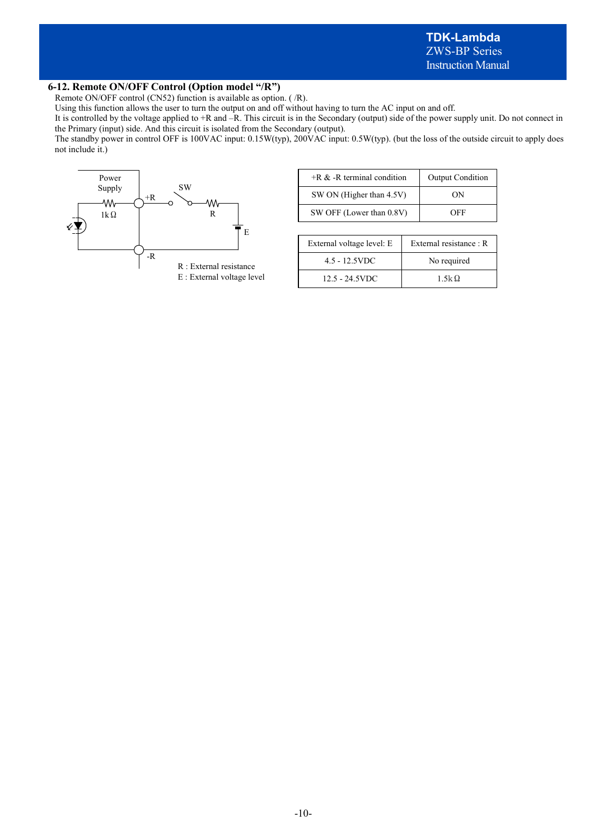### **6-12. Remote ON/OFF Control (Option model "/R")**

Remote ON/OFF control (CN52) function is available as option. ( /R).

Using this function allows the user to turn the output on and off without having to turn the AC input on and off.

It is controlled by the voltage applied to +R and –R. This circuit is in the Secondary (output) side of the power supply unit. Do not connect in the Primary (input) side. And this circuit is isolated from the Secondary (output).

The standby power in control OFF is 100VAC input: 0.15W(typ), 200VAC input: 0.5W(typ). (but the loss of the outside circuit to apply does not include it.)



| $+R \& -R$ terminal condition | <b>Output Condition</b> |
|-------------------------------|-------------------------|
| SW ON (Higher than 4.5V)      | ΩN                      |
| SW OFF (Lower than 0.8V)      | OFF                     |

| External voltage level: E | External resistance : R |
|---------------------------|-------------------------|
| $4.5 - 12.5$ VDC          | No required             |
| $12.5 - 24.5$ VDC         | $1.5k\Omega$            |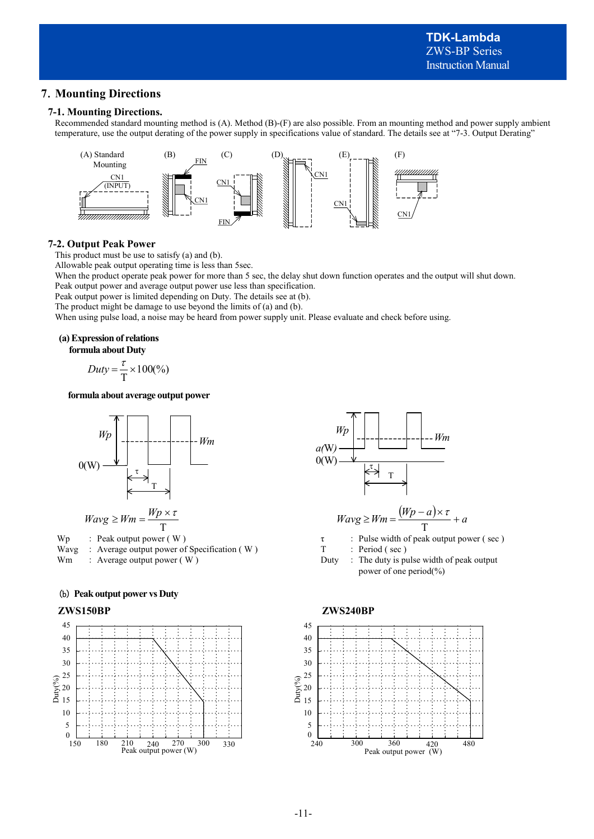# **7**.**Mounting Directions**

### **7-1. Mounting Directions.**

Recommended standard mounting method is (A). Method (B)-(F) are also possible. From an mounting method and power supply ambient temperature, use the output derating of the power supply in specifications value of standard. The details see at "7-3. Output Derating"



### **7-2. Output Peak Power**

This product must be use to satisfy (a) and (b).

Allowable peak output operating time is less than 5sec.

When the product operate peak power for more than 5 sec, the delay shut down function operates and the output will shut down. Peak output power and average output power use less than specification.

Peak output power is limited depending on Duty. The details see at (b).

The product might be damage to use beyond the limits of (a) and (b).

When using pulse load, a noise may be heard from power supply unit. Please evaluate and check before using.

### **(a) Expression of relations**

**formula about Duty** 

$$
Duty = \frac{\tau}{T} \times 100\frac{\%}{\}
$$

**formula about average output power** 



Wavg : Average output power of Specification (W) T : Period (sec)

### (b) **Peak output power vs Duty**





Wm : Average output power  $(W)$  Duty : The duty is pulse width of peak output power of one period(%)

### **ZWS150BP ZWS240BP**

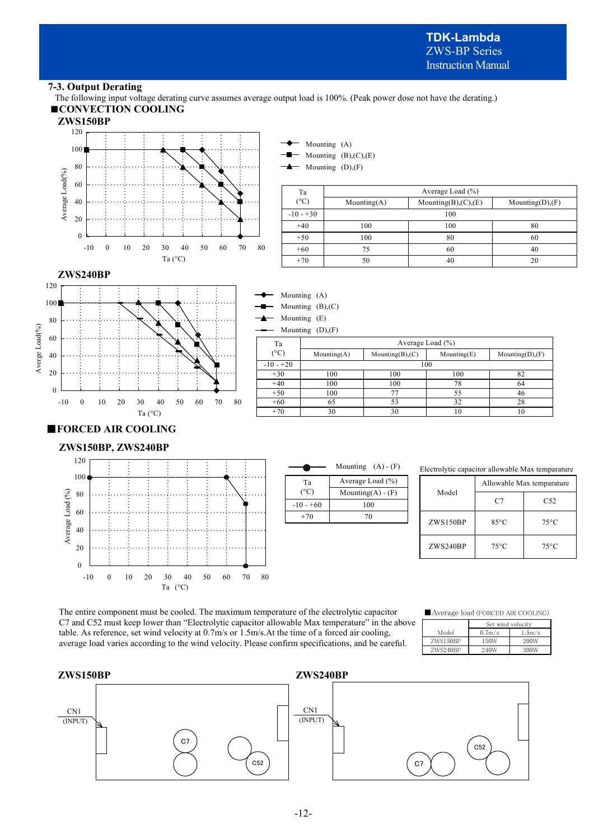**TDK-Lambda**  ZWS-BP Series Instruction Manual

### **7-3. Output Derating**

The following input voltage derating curve assumes average output load is 100%. (Peak power dose not have the derating.) ■**CONVECTION COOLING**

> Mounting (A) Mounting (B),(C),(E)



| $\cdot$         | .              | $\rightarrow$ | Mounting (D),(F) |                                |                    |
|-----------------|----------------|---------------|------------------|--------------------------------|--------------------|
|                 |                | Ta            |                  | Average Load $(\% )$           |                    |
|                 | .              | $(^{\circ}C)$ | $M$ ounting(A)   | Mounting $(B)$ , $(C)$ , $(E)$ | Mounting $(D),(F)$ |
|                 |                | $-10 - +30$   |                  | 100                            |                    |
|                 |                | $+40$         | 100              | 100                            | 80                 |
|                 |                | $+50$         | 100              | 80                             | 60                 |
| 30.<br>40<br>50 | 80<br>60<br>70 | $+60$         | 75               | 60                             | 40                 |
| Ta (°C)         |                | $+70$         | 50               | 40                             | 20                 |





Mounting (D),(F)

| Ta          | Average Load $(\% )$ |                        |                   |                  |  |
|-------------|----------------------|------------------------|-------------------|------------------|--|
| (°C)        | $M$ ounting $(A)$    | Mounting $(B)$ , $(C)$ | $M$ ounting $(E)$ | Mounting(D), (F) |  |
| $-10 - +20$ |                      |                        | 100               |                  |  |
| $+30$       | 100                  | 100                    | 100               | 82               |  |
| $+40$       | 100                  | 100                    | 78                | 64               |  |
| $+50$       | 100                  |                        | 55                | 46               |  |
| $+60$       | 65                   | 53                     | 32                | 28               |  |
| $+70$       | 30                   | 30                     | 10                | 10               |  |
|             |                      |                        |                   |                  |  |

# ■**FORCED AIR COOLING**

**ZWS150BP, ZWS240BP** 



|               | Mounting $(A) - (F)$   |  |  |
|---------------|------------------------|--|--|
| Ta            | Average Load $(\% )$   |  |  |
| $(^{\circ}C)$ | Mounting $(A)$ - $(F)$ |  |  |
| $-10 - +60$   | 100                    |  |  |
| $+70$         | 70                     |  |  |
|               |                        |  |  |
|               |                        |  |  |

| Mounting $(A) - (F)$<br>Electrolytic capacitor allowable Max temparature |
|--------------------------------------------------------------------------|
|--------------------------------------------------------------------------|

| Model    | Allowable Max temparature |                 |  |
|----------|---------------------------|-----------------|--|
|          | C7                        | C <sub>52</sub> |  |
| ZWS150BP | $85^{\circ}$ C            | $75^{\circ}$ C  |  |
| ZWS240BP | $75^{\circ}$ C            | 75°C            |  |

The entire component must be cooled. The maximum temperature of the electrolytic capacitor C7 and C52 must keep lower than "Electrolytic capacitor allowable Max temperature" in the above table. As reference, set wind velocity at 0.7m/s or 1.5m/s.At the time of a forced air cooling, average load varies according to the wind velocity. Please confirm specifications, and be careful.

### ■Average load (FORCED AIR COOLING)

|          |  | Set wind velocity |           |
|----------|--|-------------------|-----------|
| Model    |  | $0.7m$ /s         | $1.5m$ /s |
| ZWS150BP |  | 150W              | 200W      |
| ZWS240BP |  | 240W              | 300W      |

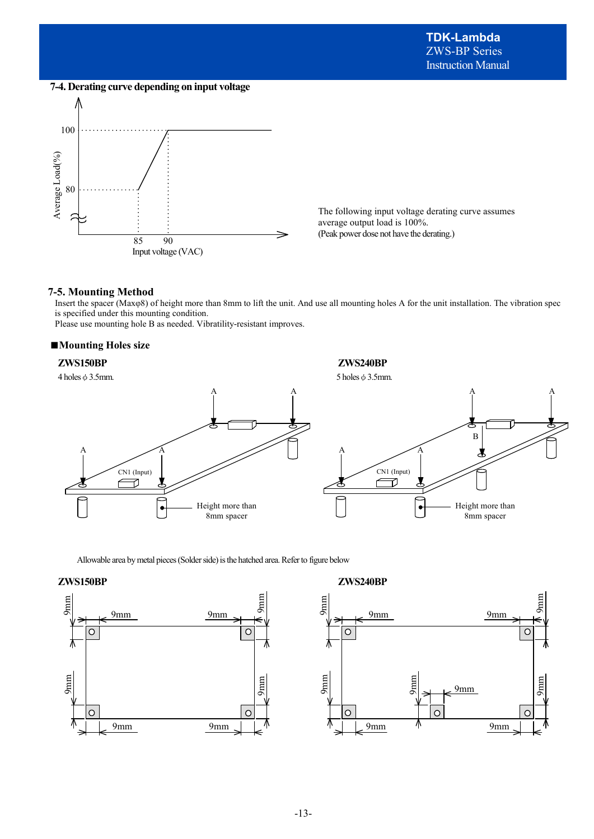**7-4. Derating curve depending on input voltage**



The following input voltage derating curve assumes average output load is 100%. (Peak power dose not have the derating.)

### **7-5. Mounting Method**

Insert the spacer (Maxφ8) of height more than 8mm to lift the unit. And use all mounting holes A for the unit installation. The vibration spec is specified under this mounting condition.

Please use mounting hole B as needed. Vibratility-resistant improves.

### ■**Mounting Holes size**

### **ZWS150BP ZWS240BP**



Allowable area by metal pieces (Solder side) is the hatched area. Refer to figure below

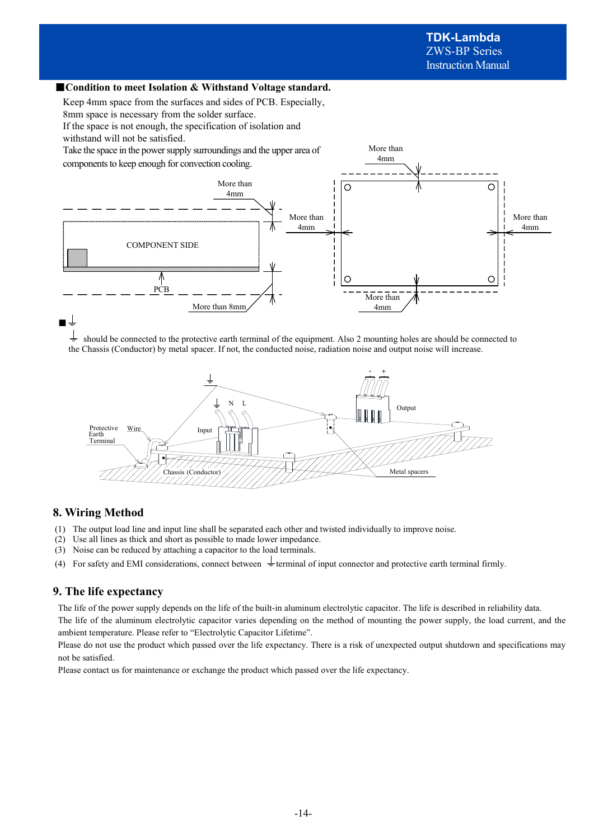### ■ **Condition to meet Isolation & Withstand Voltage standard.**

Keep 4mm space from the surfaces and sides of PCB. Especially,

8mm space is necessary from the solder surface.

If the space is not enough, the specification of isolation and

withstand will not be satisfied.

Take the space in the power supply surroundings and the upper area of components to keep enough for convection cooling.



More than 4mm

should be connected to the protective earth terminal of the equipment. Also 2 mounting holes are should be connected to the Chassis (Conductor) by metal spacer. If not, the conducted noise, radiation noise and output noise will increase.



# **8. Wiring Method**

- (1) The output load line and input line shall be separated each other and twisted individually to improve noise.
- (2) Use all lines as thick and short as possible to made lower impedance.
- (3) Noise can be reduced by attaching a capacitor to the load terminals.
- (4) For safety and EMI considerations, connect between  $\frac{1}{\pm}$  terminal of input connector and protective earth terminal firmly.

### **9. The life expectancy**

The life of the power supply depends on the life of the built-in aluminum electrolytic capacitor. The life is described in reliability data.

The life of the aluminum electrolytic capacitor varies depending on the method of mounting the power supply, the load current, and the ambient temperature. Please refer to "Electrolytic Capacitor Lifetime".

Please do not use the product which passed over the life expectancy. There is a risk of unexpected output shutdown and specifications may not be satisfied.

Please contact us for maintenance or exchange the product which passed over the life expectancy.